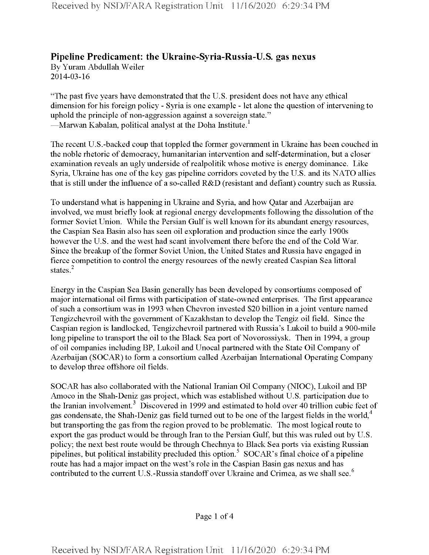## **Pipeline Predicament: the Ukraine-Syria-Russia-U.S. gas nexus**

By Yuram Abdullah Weiler 2014-03-16

"The past five years have demonstrated that the U.S. president does not have any ethical dimension for his foreign policy - Syria is one example - let alone the question of intervening to uphold the principle of non-aggression against a sovereign state." —Marwan Kabalan, political analyst at the Doha Institute.<sup>1</sup>

The recent U.S.-backed coup that toppled the former government in Ukraine has been couched in the noble rhetoric of democracy, humanitarian intervention and self-determination, but a closer examination reveals an ugly underside ofrealpolitik whose motive is energy dominance. Like Syria, Ukraine has one of the key gas pipeline corridors coveted by the U.S. and its NATO allies that is still under the influence of a so-called R&D (resistant and defiant) country such as Russia.

To understand what is happening in Ukraine and Syria, and how Qatar and Azerbaijan are involved, we must briefly look at regional energy developments following the dissolution of the former Soviet Union. While the Persian Gulf is well known for its abundant energy resources, the Caspian Sea Basin also has seen oil exploration and production since the early 1900s however the U.S. and the west had scant involvement there before the end of the Cold War. Since the breakup of the former Soviet Union, the United States and Russia have engaged in fierce competition to control the energy resources ofthe newly created Caspian Sea littoral states.<sup>2</sup>

Energy in the Caspian Sea Basin generally has been developed by consortiums composed of major international oil firms with participation of state-owned enterprises. The first appearance ofsuch a consortium was in 1993 when Chevron invested \$20 billion in a joint venture named Tengizchevroil with the government of Kazakhstan to develop the Tengiz oil field. Since the Caspian region is landlocked, Tengizchevroil partnered with Russia's Lukoil to build a 900-mile long pipeline to transport the oil to the Black Sea port of Novorossiysk. Then in 1994, a group of oil companies including BP, Lukoil and Unocal partnered with the State Oil Company of Azerbaijan (SOCAR) to form a consortium called Azerbaijan International Operating Company to develop three offshore oil fields.

SOCAR has also collaborated with the National Iranian Oil Company (NIOC), Lukoil and BP Amoco in the Shah-Deniz gas project, which was established without U.S. participation due to the Iranian involvement.<sup>3</sup> Discovered in 1999 and estimated to hold over 40 trillion cubic feet of gas condensate, the Shah-Deniz gas field turned out to be one of the largest fields in the world,<sup>4</sup> but transporting the gas from the region proved to be problematic. The most logical route to export the gas product would be through Iran to the Persian Gulf, but this was ruled out by U.S. policy; the next best route would be through Chechnya to Black Sea ports via existing Russian pipelines, but political instability precluded this option.5 SOCAR's final choice of a pipeline route has had a major impact on the west's role in the Caspian Basin gas nexus and has contributed to the current U.S.-Russia standoff over Ukraine and Crimea, as we shall see.<sup>6</sup>

Page <sup>1</sup> of 4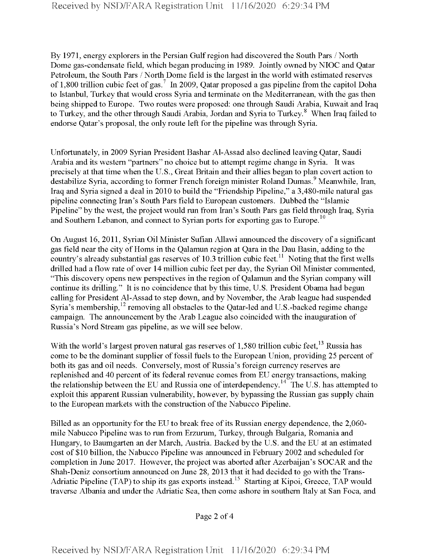By 1971, energy explorers in the Persian Gulf region had discovered the South Pars / North Dome gas-condensate field, which began producing in 1989. Jointly owned by NIOC and Qatar Petroleum, the South Pars / North Dome field is the largest in the world with estimated reserves of 1,800 trillion cubic feet of gas.<sup>7</sup> In 2009, Qatar proposed a gas pipeline from the capitol Doha to Istanbul, Turkey that would cross Syria and terminate on the Mediterranean, with the gas then being shipped to Europe. Two routes were proposed: one through Saudi Arabia, Kuwait and Iraq to Turkey, and the other through Saudi Arabia, Jordan and Syria to Turkey.<sup>8</sup> When Iraq failed to endorse Qatar's proposal, the only route left for the pipeline was through Syria.

Unfortunately, in 2009 Syrian President Bashar Al-Assad also declined leaving Qatar, Saudi Arabia and its western "partners" no choice but to attempt regime change in Syria. It was precisely at that time when the U.S., Great Britain and their allies began to plan covert action to destabilize Syria, according to former French foreign minister Roland Dumas.<sup>9</sup> Meanwhile, Iran, Iraq and Syria signed a deal in 2010 to build the "Friendship Pipeline," a 3,480-mile natural gas pipeline connecting Iran's South Pars field to European customers. Dubbed the "Islamic Pipeline" by the west, the project would run from Iran's South Pars gas field through Iraq, Syria and Southern Lebanon, and connect to Syrian ports for exporting gas to Europe.<sup>10</sup>

On August 16, 2011, Syrian Oil Minister Sufian Allawi announced the discovery of a significant gas field near the city of Homs in the Qalamun region at Qara in the Dau Basin, adding to the country's already substantial gas reserves of 10.3 trillion cubic feet.<sup>11</sup> Noting that the first wells drilled had a flow rate of over 14 million cubic feet per day, the Syrian Oil Minister commented, "This discovery opens new perspectives in the region of Qalamun and the Syrian company will continue its drilling." It is no coincidence that by this time, U.S. President Obama had begun calling for President Al-Assad to step down, and by November, the Arab league had suspended Syria's membership, $^{12}$  removing all obstacles to the Qatar-led and U.S.-backed regime change campaign. The announcement by the Arab League also coincided with the inauguration of Russia's Nord Stream gas pipeline, as we will see below.

With the world's largest proven natural gas reserves of  $1,580$  trillion cubic feet,  $^{13}$  Russia has come to be the dominant supplier of fossil fuels to the European Union, providing 25 percent of both its gas and oil needs. Conversely, most of Russia's foreign currency reserves are replenished and 40 percent of its federal revenue comes from EU energy transactions, making the relationship between the EU and Russia one of interdependency.<sup>14</sup> The U.S. has attempted to exploit this apparent Russian vulnerability, however, by bypassing the Russian gas supply chain to the European markets with the construction of the Nabucco Pipeline.

Billed as an opportunity for the EU to break free of its Russian energy dependence, the 2,060mile Nabucco Pipeline was to run from Erzurum, Turkey, through Bulgaria, Romania and Hungary, to Baumgarten an der March, Austria. Backed by the U.S. and the EU at an estimated cost of \$10 billion, the Nabucco Pipeline was announced in February 2002 and scheduled for completion in June 2017. However, the project was aborted after Azerbaijan's SOCAR and the Shah-Deniz consortium announced on June 28, 2013 that it had decided to go with the Trans-Adriatic Pipeline (TAP) to ship its gas exports instead.<sup>15</sup> Starting at Kipoi, Greece, TAP would traverse Albania and under the Adriatic Sea, then come ashore in southern Italy at San Foca, and

Page 2 of 4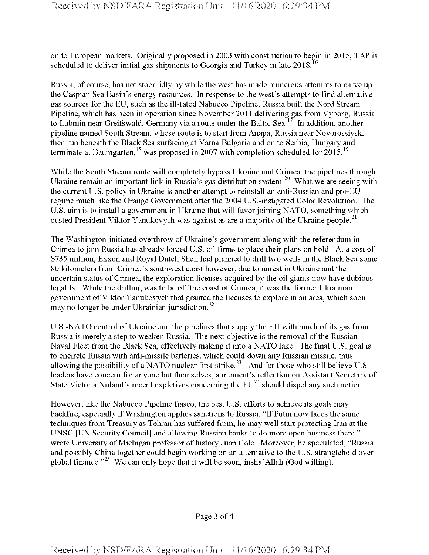on to European markets. Originally proposed in 2003 with construction to begin in 2015, TAP is scheduled to deliver initial gas shipments to Georgia and Turkey in late  $2018$ <sup>16</sup>

Russia, of course, has not stood idly by while the west has made numerous attempts to carve up the Caspian Sea Basin's energy resources. In response to the west's attempts to find alternative gas sources forthe EU, such as the ill-fated Nabucco Pipeline, Russia built the Nord Stream Pipeline, which has been in operation since November 2011 delivering gas from Vyborg, Russia to Lubmin near Greifswald, Germany via a route under the Baltic Sea.<sup>17</sup> In addition, another pipeline named South Stream, whose route is to start from Anapa, Russia near Novorossiysk, then run beneath the Black Sea surfacing at Varna Bulgaria and on to Serbia, Hungary and terminate at Baumgarten,<sup>18</sup> was proposed in 2007 with completion scheduled for  $2015$ .<sup>19</sup>

While the South Stream route will completely bypass Ukraine and Crimea, the pipelines through Ukraine remain an important link in Russia's gas distribution system.<sup>20</sup> What we are seeing with the current U.S. policy in Ukraine is another attempt to reinstall an anti-Russian and pro-EU regime much like the Orange Government after the 2004 U.S.-instigated Color Revolution. The U.S. aim is to install a government in Ukraine that will favor joining NATO, something which ousted President Viktor Yanukovych was against as are a majority of the Ukraine people.<sup>21</sup>

The Washington-initiated overthrow of Ukraine's government along with the referendum in Crimea to join Russia has already forced U.S. oil firms to place their plans on hold. At a cost of \$735 million, Exxon and Royal Dutch Shell had planned to drill two wells in the Black Sea some 80 kilometers from Crimea's southwest coast however, due to unrest in Ukraine and the uncertain status of Crimea, the exploration licenses acquired by the oil giants now have dubious legality. While the drilling was to be off the coast of Crimea, it was the former Ukrainian government of Viktor Yanukovych that granted the licenses to explore in an area, which soon may no longer be under Ukrainian jurisdiction. $^{22}$ 

U.S.-NATO control of Ukraine and the pipelines that supply the EU with much of its gas from Russia is merely a step to weaken Russia. The next objective is the removal ofthe Russian Naval Fleet from the Black Sea, effectively making it into a NATO lake. The final U.S. goal is to encircle Russia with anti-missile batteries, which could down any Russian missile, thus allowing the possibility of a NATO nuclear first-strike.<sup>23</sup> And for those who still believe U.S. leaders have concern for anyone but themselves, a moment's reflection on Assistant Secretary of State Victoria Nuland's recent expletives concerning the  $EU^{24}$  should dispel any such notion.

However, like the Nabucco Pipeline fiasco, the best U.S. efforts to achieve its goals may backfire, especially if Washington applies sanctions to Russia. "If Putin now faces the same techniques from Treasury as Tehran has suffered from, he may well start protecting Iran at the UNSC [UN Security Council] and allowing Russian banks to do more open business there," wrote University of Michigan professor of history Juan Cole. Moreover, he speculated, "Russia and possibly China together could begin working on an alternative to the U.S. stranglehold over global finance."<sup>25</sup> We can only hope that it will be soon, insha'Allah (God willing).